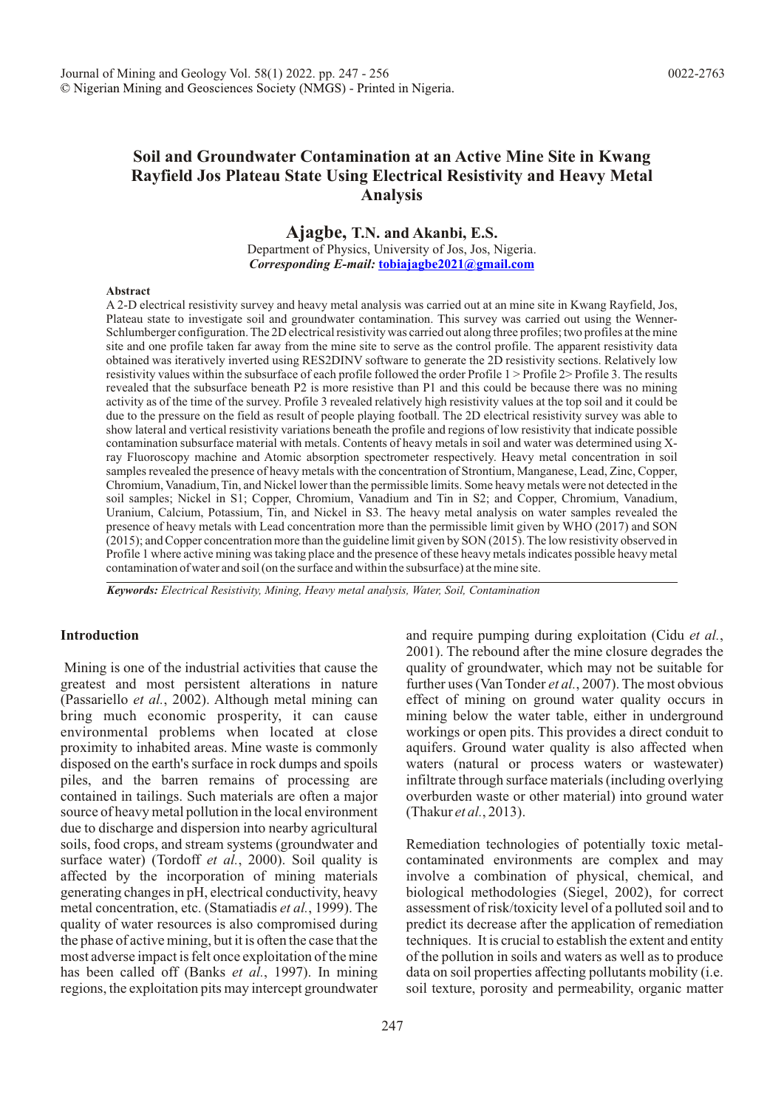# **Soil and Groundwater Contamination at an Active Mine Site in Kwang Rayfield Jos Plateau State Using Electrical Resistivity and Heavy Metal Analysis**

**Ajagbe, T.N. and Akanbi, E.S.**

Department of Physics, University of Jos, Jos, Nigeria. *Corresponding E-mail:* **tobiajagbe2021@gmail.com**

#### **Abstract**

A 2-D electrical resistivity survey and heavy metal analysis was carried out at an mine site in Kwang Rayfield, Jos, Plateau state to investigate soil and groundwater contamination. This survey was carried out using the Wenner-Schlumberger configuration. The 2D electrical resistivity was carried out along three profiles; two profiles at the mine site and one profile taken far away from the mine site to serve as the control profile. The apparent resistivity data obtained was iteratively inverted using RES2DINV software to generate the 2D resistivity sections. Relatively low resistivity values within the subsurface of each profile followed the order Profile 1 > Profile 2> Profile 3. The results revealed that the subsurface beneath P2 is more resistive than P1 and this could be because there was no mining activity as of the time of the survey. Profile 3 revealed relatively high resistivity values at the top soil and it could be due to the pressure on the field as result of people playing football. The 2D electrical resistivity survey was able to show lateral and vertical resistivity variations beneath the profile and regions of low resistivity that indicate possible contamination subsurface material with metals. Contents of heavy metals in soil and water was determined using Xray Fluoroscopy machine and Atomic absorption spectrometer respectively. Heavy metal concentration in soil samples revealed the presence of heavy metals with the concentration of Strontium, Manganese, Lead, Zinc, Copper, Chromium, Vanadium, Tin, and Nickel lower than the permissible limits. Some heavy metals were not detected in the soil samples; Nickel in S1; Copper, Chromium, Vanadium and Tin in S2; and Copper, Chromium, Vanadium, Uranium, Calcium, Potassium, Tin, and Nickel in S3. The heavy metal analysis on water samples revealed the presence of heavy metals with Lead concentration more than the permissible limit given by WHO (2017) and SON (2015); and Copper concentration more than the guideline limit given by SON (2015). The low resistivity observed in Profile 1 where active mining was taking place and the presence of these heavy metals indicates possible heavy metal contamination of water and soil (on the surface and within the subsurface) at the mine site.

*Keywords: Electrical Resistivity, Mining, Heavy metal analysis, Water, Soil, Contamination*

## **Introduction**

 Mining is one of the industrial activities that cause the greatest and most persistent alterations in nature (Passariello *et al.*, 2002). Although metal mining can bring much economic prosperity, it can cause environmental problems when located at close proximity to inhabited areas. Mine waste is commonly disposed on the earth's surface in rock dumps and spoils piles, and the barren remains of processing are contained in tailings. Such materials are often a major source of heavy metal pollution in the local environment due to discharge and dispersion into nearby agricultural soils, food crops, and stream systems (groundwater and surface water) (Tordoff *et al.*, 2000). Soil quality is affected by the incorporation of mining materials generating changes in pH, electrical conductivity, heavy metal concentration, etc. (Stamatiadis *et al.*, 1999). The quality of water resources is also compromised during the phase of active mining, but it is often the case that the most adverse impact is felt once exploitation of the mine has been called off (Banks *et al.*, 1997). In mining regions, the exploitation pits may intercept groundwater and require pumping during exploitation (Cidu *et al.*, 2001). The rebound after the mine closure degrades the quality of groundwater, which may not be suitable for further uses (Van Tonder *et al.*, 2007). The most obvious effect of mining on ground water quality occurs in mining below the water table, either in underground workings or open pits. This provides a direct conduit to aquifers. Ground water quality is also affected when waters (natural or process waters or wastewater) infiltrate through surface materials (including overlying overburden waste or other material) into ground water (Thakur *et al.*, 2013).

Remediation technologies of potentially toxic metalcontaminated environments are complex and may involve a combination of physical, chemical, and biological methodologies (Siegel, 2002), for correct assessment of risk/toxicity level of a polluted soil and to predict its decrease after the application of remediation techniques. It is crucial to establish the extent and entity of the pollution in soils and waters as well as to produce data on soil properties affecting pollutants mobility (i.e. soil texture, porosity and permeability, organic matter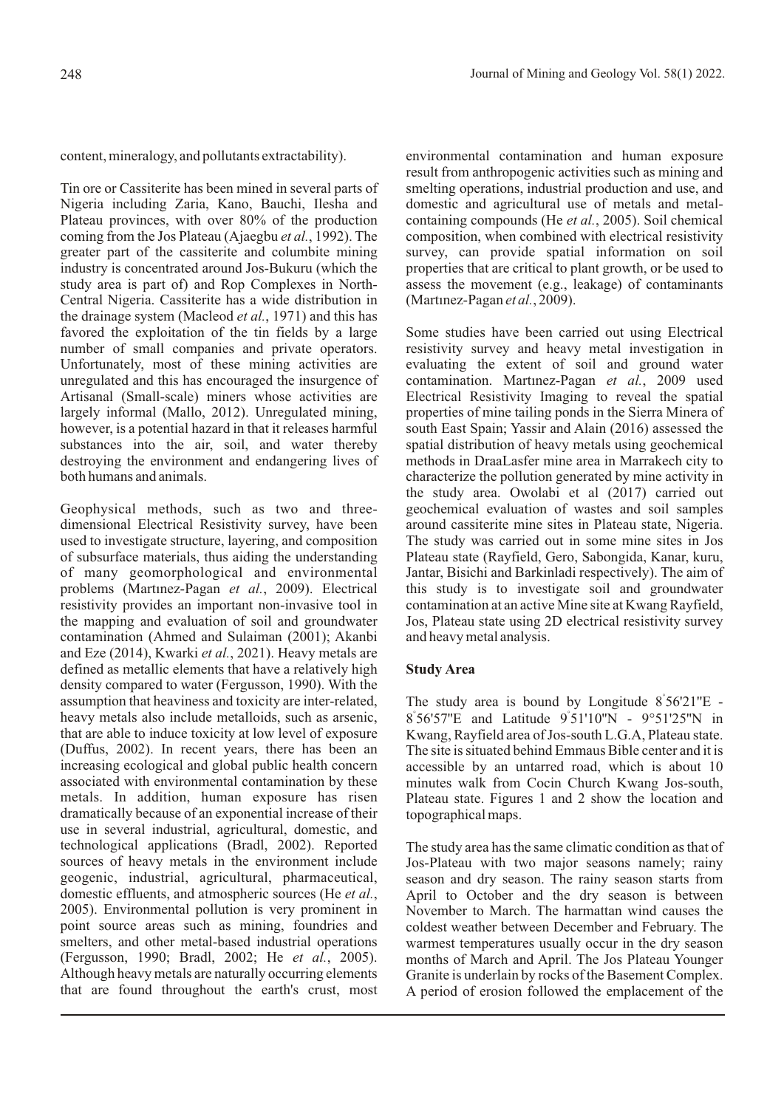content, mineralogy, and pollutants extractability).

Tin ore or Cassiterite has been mined in several parts of Nigeria including Zaria, Kano, Bauchi, Ilesha and Plateau provinces, with over 80% of the production coming from the Jos Plateau (Ajaegbu *et al.*, 1992). The greater part of the cassiterite and columbite mining industry is concentrated around Jos-Bukuru (which the study area is part of) and Rop Complexes in North-Central Nigeria. Cassiterite has a wide distribution in the drainage system (Macleod *et al.*, 1971) and this has favored the exploitation of the tin fields by a large number of small companies and private operators. Unfortunately, most of these mining activities are unregulated and this has encouraged the insurgence of Artisanal (Small-scale) miners whose activities are largely informal (Mallo, 2012). Unregulated mining, however, is a potential hazard in that it releases harmful substances into the air, soil, and water thereby destroying the environment and endangering lives of both humans and animals.

Geophysical methods, such as two and threedimensional Electrical Resistivity survey, have been used to investigate structure, layering, and composition of subsurface materials, thus aiding the understanding of many geomorphological and environmental problems (Martinez-Pagan et al., 2009). Electrical resistivity provides an important non-invasive tool in the mapping and evaluation of soil and groundwater contamination (Ahmed and Sulaiman (2001); Akanbi and Eze (2014), Kwarki *et al.*, 2021). Heavy metals are defined as metallic elements that have a relatively high density compared to water (Fergusson, 1990). With the assumption that heaviness and toxicity are inter-related, heavy metals also include metalloids, such as arsenic, that are able to induce toxicity at low level of exposure (Duffus, 2002). In recent years, there has been an increasing ecological and global public health concern associated with environmental contamination by these metals. In addition, human exposure has risen dramatically because of an exponential increase of their use in several industrial, agricultural, domestic, and technological applications (Bradl, 2002). Reported sources of heavy metals in the environment include geogenic, industrial, agricultural, pharmaceutical, domestic effluents, and atmospheric sources (He *et al.*, 2005). Environmental pollution is very prominent in point source areas such as mining, foundries and smelters, and other metal-based industrial operations (Fergusson, 1990; Bradl, 2002; He *et al.*, 2005). Although heavy metals are naturally occurring elements that are found throughout the earth's crust, most environmental contamination and human exposure result from anthropogenic activities such as mining and smelting operations, industrial production and use, and domestic and agricultural use of metals and metalcontaining compounds (He *et al.*, 2005). Soil chemical composition, when combined with electrical resistivity survey, can provide spatial information on soil properties that are critical to plant growth, or be used to assess the movement (e.g., leakage) of contaminants (Martinez-Pagan et al., 2009).

Some studies have been carried out using Electrical resistivity survey and heavy metal investigation in evaluating the extent of soil and ground water contamination. Martinez-Pagan et al., 2009 used Electrical Resistivity Imaging to reveal the spatial properties of mine tailing ponds in the Sierra Minera of south East Spain; Yassir and Alain (2016) assessed the spatial distribution of heavy metals using geochemical methods in DraaLasfer mine area in Marrakech city to characterize the pollution generated by mine activity in the study area. Owolabi et al (2017) carried out geochemical evaluation of wastes and soil samples around cassiterite mine sites in Plateau state, Nigeria. The study was carried out in some mine sites in Jos Plateau state (Rayfield, Gero, Sabongida, Kanar, kuru, Jantar, Bisichi and Barkinladi respectively). The aim of this study is to investigate soil and groundwater contamination at an active Mine site at Kwang Rayfield, Jos, Plateau state using 2D electrical resistivity survey and heavy metal analysis.

# **Study Area**

The study area is bound by Longitude 8°56'21"E -° ° 8 56'57''E and Latitude 9 51'10''N - 9°51'25''N in Kwang, Rayfield area of Jos-south L.G.A, Plateau state. The site is situated behind Emmaus Bible center and it is accessible by an untarred road, which is about 10 minutes walk from Cocin Church Kwang Jos-south, Plateau state. Figures 1 and 2 show the location and topographical maps.

The study area has the same climatic condition as that of Jos-Plateau with two major seasons namely; rainy season and dry season. The rainy season starts from April to October and the dry season is between November to March. The harmattan wind causes the coldest weather between December and February. The warmest temperatures usually occur in the dry season months of March and April. The Jos Plateau Younger Granite is underlain by rocks of the Basement Complex. A period of erosion followed the emplacement of the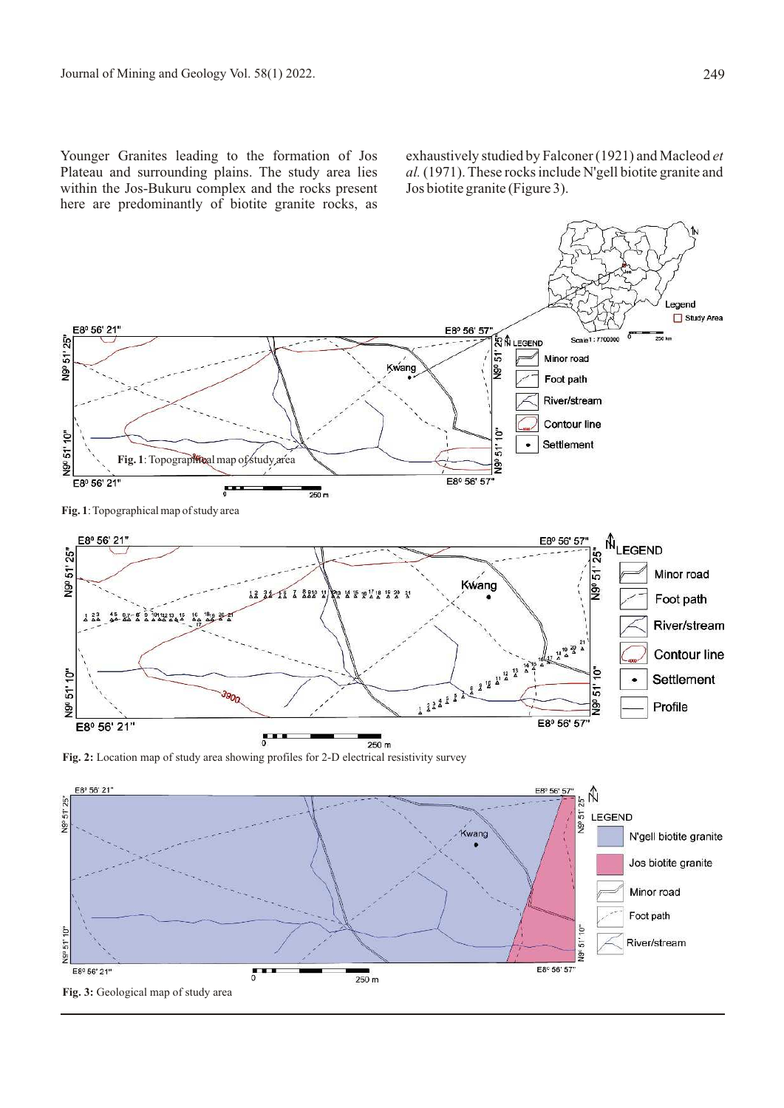Younger Granites leading to the formation of Jos Plateau and surrounding plains. The study area lies within the Jos-Bukuru complex and the rocks present here are predominantly of biotite granite rocks, as

exhaustively studied by Falconer (1921) and Macleod *et al.* (1971). These rocks include N'gell biotite granite and Jos biotite granite (Figure 3).

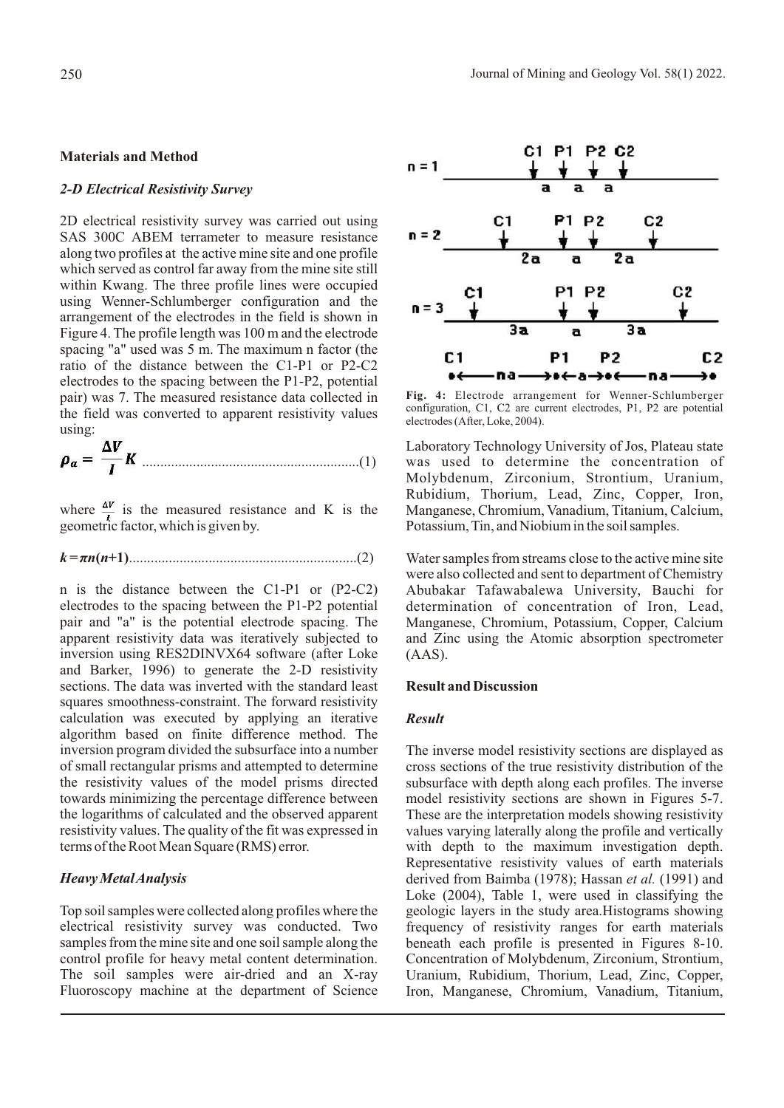#### **Materials and Method**

#### *2-D Electrical Resistivity Survey*

2D electrical resistivity survey was carried out using SAS 300C ABEM terrameter to measure resistance along two profiles at the active mine site and one profile which served as control far away from the mine site still within Kwang. The three profile lines were occupied using Wenner-Schlumberger configuration and the arrangement of the electrodes in the field is shown in Figure 4. The profile length was 100 m and the electrode spacing "a" used was 5 m. The maximum n factor (the ratio of the distance between the C1-P1 or P2-C2 electrodes to the spacing between the P1-P2, potential pair) was 7. The measured resistance data collected in the field was converted to apparent resistivity values using:

............................................................(1)

where  $\frac{\Delta V}{l}$  is the measured resistance and K is the geometric factor, which is given by.

*k = ðn***(***n***+1)**...............................................................(2)

n is the distance between the C1-P1 or (P2-C2) electrodes to the spacing between the P1-P2 potential pair and "a" is the potential electrode spacing. The apparent resistivity data was iteratively subjected to inversion using RES2DINVX64 software (after Loke and Barker, 1996) to generate the 2-D resistivity sections. The data was inverted with the standard least squares smoothness-constraint. The forward resistivity calculation was executed by applying an iterative algorithm based on finite difference method. The inversion program divided the subsurface into a number of small rectangular prisms and attempted to determine the resistivity values of the model prisms directed towards minimizing the percentage difference between the logarithms of calculated and the observed apparent resistivity values. The quality of the fit was expressed in terms of the Root Mean Square (RMS) error.

### *Heavy Metal Analysis*

Top soil samples were collected along profiles where the electrical resistivity survey was conducted. Two samples from the mine site and one soil sample along the control profile for heavy metal content determination. The soil samples were air-dried and an X-ray Fluoroscopy machine at the department of Science



**Fig. 4:** Electrode arrangement for Wenner-Schlumberger configuration, C1, C2 are current electrodes, P1, P2 are potential electrodes (After, Loke, 2004).

Laboratory Technology University of Jos, Plateau state was used to determine the concentration of Molybdenum, Zirconium, Strontium, Uranium, Rubidium, Thorium, Lead, Zinc, Copper, Iron, Manganese, Chromium, Vanadium, Titanium, Calcium, Potassium, Tin, and Niobium in the soil samples.

Water samples from streams close to the active mine site were also collected and sent to department of Chemistry Abubakar Tafawabalewa University, Bauchi for determination of concentration of Iron, Lead, Manganese, Chromium, Potassium, Copper, Calcium and Zinc using the Atomic absorption spectrometer (AAS).

## **Result and Discussion**

### *Result*

The inverse model resistivity sections are displayed as cross sections of the true resistivity distribution of the subsurface with depth along each profiles. The inverse model resistivity sections are shown in Figures 5-7. These are the interpretation models showing resistivity values varying laterally along the profile and vertically with depth to the maximum investigation depth. Representative resistivity values of earth materials derived from Baimba (1978); Hassan *et al.* (1991) and Loke (2004), Table 1, were used in classifying the geologic layers in the study area.Histograms showing frequency of resistivity ranges for earth materials beneath each profile is presented in Figures 8-10. Concentration of Molybdenum, Zirconium, Strontium, Uranium, Rubidium, Thorium, Lead, Zinc, Copper, Iron, Manganese, Chromium, Vanadium, Titanium,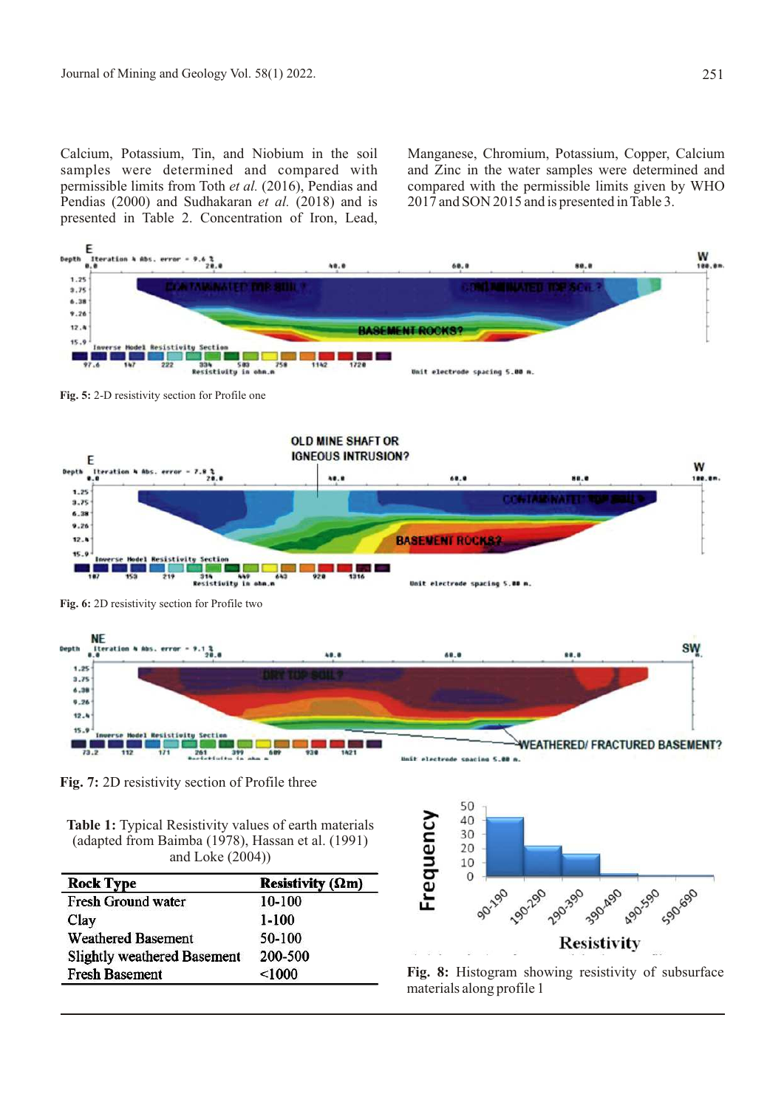Calcium, Potassium, Tin, and Niobium in the soil samples were determined and compared with permissible limits from Toth *et al.* (2016), Pendias and Pendias (2000) and Sudhakaran *et al.* (2018) and is presented in Table 2. Concentration of Iron, Lead,

Manganese, Chromium, Potassium, Copper, Calcium and Zinc in the water samples were determined and compared with the permissible limits given by WHO 2017 and SON 2015 and is presented in Table 3.



**Table 1:** Typical Resistivity values of earth materials (adapted from Baimba (1978), Hassan et al. (1991) and Loke (2004))

| <b>Rock Type</b>                   | Resistivity ( $\Omega$ m) |  |
|------------------------------------|---------------------------|--|
| <b>Fresh Ground water</b>          | 10-100                    |  |
| Clay                               | $1 - 100$                 |  |
| <b>Weathered Basement</b>          | 50-100                    |  |
| <b>Slightly weathered Basement</b> | 200-500                   |  |
| <b>Fresh Basement</b>              | < 1000                    |  |



**Fig. 8:** Histogram showing resistivity of subsurface materials along profile 1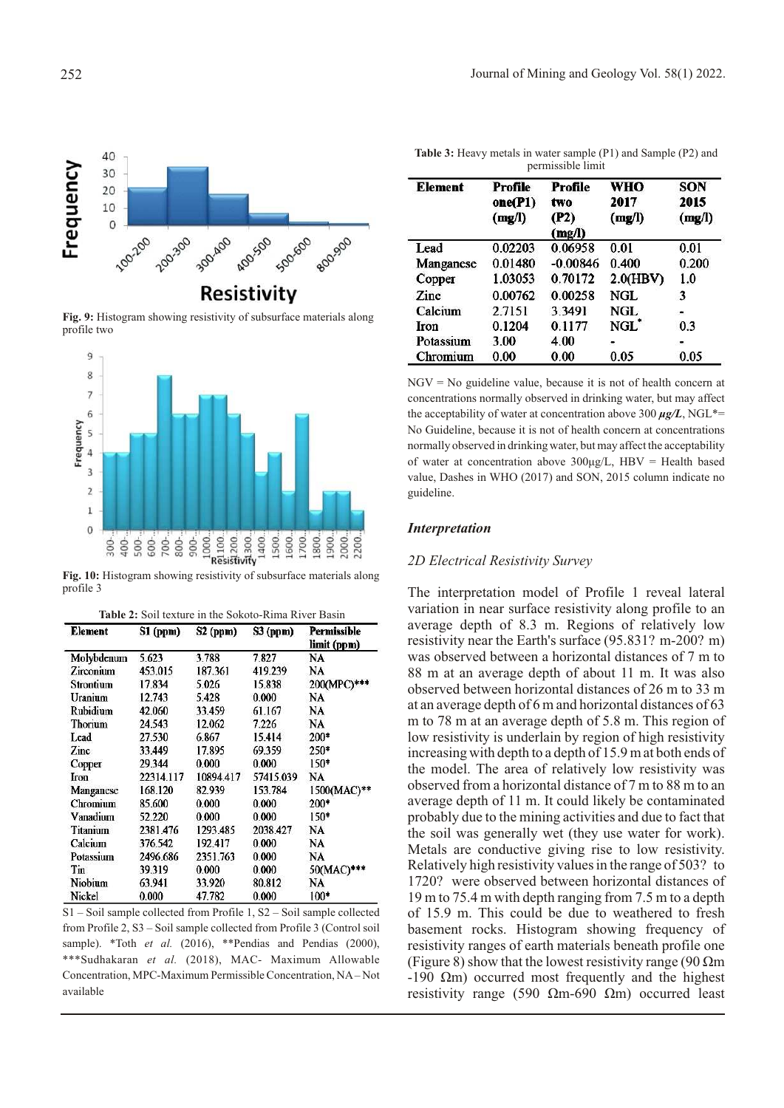

**Fig. 9:** Histogram showing resistivity of subsurface materials along profile two



**Fig. 10:** Histogram showing resistivity of subsurface materials along profile 3

| <b>Table 2:</b> Soil texture in the Sokoto-Rima River Basin |  |  |
|-------------------------------------------------------------|--|--|
|-------------------------------------------------------------|--|--|

| Element    | S1 (ppm)  | <b>S2 (ppm)</b> | S3 (ppm)  | Permissible<br>limit (ppm) |
|------------|-----------|-----------------|-----------|----------------------------|
| Molybdenum | 5.623     | 3.788           | 7.827     | NA                         |
| Zirconium  | 453.015   | 187.361         | 419.239   | NA                         |
| Strontium  | 17.834    | 5.026           | 15.838    | 200(MPC)***                |
| Uranium    | 12.743    | 5.428           | 0.000     | NA                         |
| Rubidium   | 42.060    | 33.459          | 61.167    | NA                         |
| Thorium    | 24.543    | 12.062          | 7.226     | NA                         |
| Lead       | 27.530    | 6.867           | 15.414    | 200*                       |
| Zinc       | 33.449    | 17.895          | 69.359    | 250*                       |
| Copper     | 29.344    | 0.000           | 0.000     | 150+                       |
| Iron       | 22314.117 | 10894.417       | 57415.039 | NA                         |
| Manganese  | 168.120   | 82.939          | 153.784   | 1500(MAC)**                |
| Chromium   | 85.600    | 0.000           | 0.000     | $200*$                     |
| Vanadium   | 52.220    | 0.000           | 0.000     | $150*$                     |
| Titanium   | 2381.476  | 1293.485        | 2038.427  | NA                         |
| Calcium    | 376.542   | 192.417         | 0.000     | NA                         |
| Potassium  | 2496.686  | 2351.763        | 0.000     | NA                         |
| Tin        | 39.319    | 0.000           | 0.000     | 50(MAC)***                 |
| Niobium    | 63.941    | 33.920          | 80.812    | NA                         |
| Nickel     | 0.000     | 47.782          | 0.000     | $100*$                     |

S1 – Soil sample collected from Profile 1, S2 – Soil sample collected from Profile 2, S3 – Soil sample collected from Profile 3 (Control soil sample). \*Toth *et al.* (2016), \*\*Pendias and Pendias (2000), \*\*\*Sudhakaran *et al.* (2018), MAC- Maximum Allowable Concentration, MPC-Maximum Permissible Concentration, NA – Not available

**Table 3:** Heavy metals in water sample (P1) and Sample (P2) and permissible limit

| <b>Element</b> | Profile<br>one(P1)<br>(mg/l) | Profile<br>two<br>(P2)<br>(mg/l) | WHO<br>2017<br>(mg/l) | <b>SON</b><br>2015<br>(mg/l) |
|----------------|------------------------------|----------------------------------|-----------------------|------------------------------|
| Lead           | 0.02203                      | 0.06958                          | 0.01                  | 0.01                         |
| Manganese      | 0.01480                      | $-0.00846$                       | 0.400                 | 0.200                        |
| Copper         | 1.03053                      | 0.70172                          | 2.0(HBV)              | 1.0                          |
| <b>Zinc</b>    | 0.00762                      | 0.00258                          | NGL.                  | 3                            |
| Calcium        | 2.7151                       | 3.3491                           | NGL.                  | $\frac{1}{2}$                |
| Iron           | 0.1204                       | 0.1177                           | NGL)                  | 0.3                          |
| Potassium      | 3.00                         | 4.00                             | ۳                     |                              |
| Chromium       | 0.00                         | 0.00                             | 0.05                  | 0.05                         |

 $NGV = No$  guideline value, because it is not of health concern at concentrations normally observed in drinking water, but may affect the acceptability of water at concentration above 300  $\mu$ g/L, NGL<sup>\*</sup>= No Guideline, because it is not of health concern at concentrations normally observed in drinking water, but may affect the acceptability of water at concentration above  $300\mu g/L$ , HBV = Health based value, Dashes in WHO (2017) and SON, 2015 column indicate no guideline.

#### *Interpretation*

### *2D Electrical Resistivity Survey*

The interpretation model of Profile 1 reveal lateral variation in near surface resistivity along profile to an average depth of 8.3 m. Regions of relatively low resistivity near the Earth's surface (95.831? m-200? m) was observed between a horizontal distances of 7 m to 88 m at an average depth of about 11 m. It was also observed between horizontal distances of 26 m to 33 m at an average depth of 6 m and horizontal distances of 63 m to 78 m at an average depth of 5.8 m. This region of low resistivity is underlain by region of high resistivity increasing with depth to a depth of 15.9 m at both ends of the model. The area of relatively low resistivity was observed from a horizontal distance of 7 m to 88 m to an average depth of 11 m. It could likely be contaminated probably due to the mining activities and due to fact that the soil was generally wet (they use water for work). Metals are conductive giving rise to low resistivity. Relatively high resistivity values in the range of 503? to 1720? were observed between horizontal distances of 19 m to 75.4 m with depth ranging from 7.5 m to a depth of 15.9 m. This could be due to weathered to fresh basement rocks. Histogram showing frequency of resistivity ranges of earth materials beneath profile one (Figure 8) show that the lowest resistivity range (90  $\Omega$ m)  $-190 \Omega$ m) occurred most frequently and the highest resistivity range (590  $\Omega$ m-690  $\Omega$ m) occurred least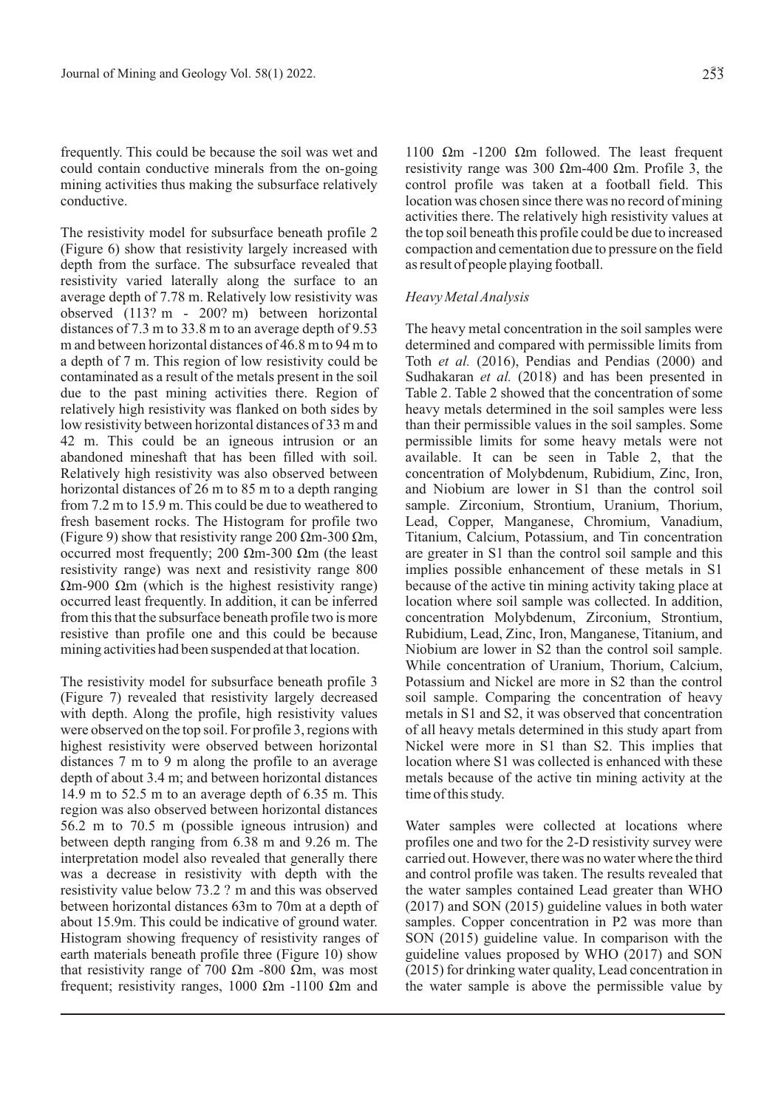frequently. This could be because the soil was wet and could contain conductive minerals from the on-going mining activities thus making the subsurface relatively conductive.

The resistivity model for subsurface beneath profile 2 (Figure 6) show that resistivity largely increased with depth from the surface. The subsurface revealed that resistivity varied laterally along the surface to an average depth of 7.78 m. Relatively low resistivity was observed (113? m - 200? m) between horizontal distances of 7.3 m to 33.8 m to an average depth of 9.53 m and between horizontal distances of 46.8 m to 94 m to a depth of 7 m. This region of low resistivity could be contaminated as a result of the metals present in the soil due to the past mining activities there. Region of relatively high resistivity was flanked on both sides by low resistivity between horizontal distances of 33 m and 42 m. This could be an igneous intrusion or an abandoned mineshaft that has been filled with soil. Relatively high resistivity was also observed between horizontal distances of 26 m to 85 m to a depth ranging from 7.2 m to 15.9 m. This could be due to weathered to fresh basement rocks. The Histogram for profile two (Figure 9) show that resistivity range 200  $\Omega$ m-300  $\Omega$ m, occurred most frequently; 200  $\Omega$ m-300  $\Omega$ m (the least resistivity range) was next and resistivity range 800  $\Omega$ m-900  $\Omega$ m (which is the highest resistivity range) occurred least frequently. In addition, it can be inferred from this that the subsurface beneath profile two is more resistive than profile one and this could be because mining activities had been suspended at that location.

The resistivity model for subsurface beneath profile 3 (Figure 7) revealed that resistivity largely decreased with depth. Along the profile, high resistivity values were observed on the top soil. For profile 3, regions with highest resistivity were observed between horizontal distances 7 m to 9 m along the profile to an average depth of about 3.4 m; and between horizontal distances 14.9 m to 52.5 m to an average depth of 6.35 m. This region was also observed between horizontal distances 56.2 m to 70.5 m (possible igneous intrusion) and between depth ranging from 6.38 m and 9.26 m. The interpretation model also revealed that generally there was a decrease in resistivity with depth with the resistivity value below 73.2 ? m and this was observed between horizontal distances 63m to 70m at a depth of about 15.9m. This could be indicative of ground water. Histogram showing frequency of resistivity ranges of earth materials beneath profile three (Figure 10) show that resistivity range of 700  $\Omega$ m -800  $\Omega$ m, was most frequent; resistivity ranges, 1000  $\Omega$ m -1100  $\Omega$ m and

1100  $\Omega$ m -1200  $\Omega$ m followed. The least frequent resistivity range was 300  $\Omega$ m-400  $\Omega$ m. Profile 3, the control profile was taken at a football field. This location was chosen since there was no record of mining activities there. The relatively high resistivity values at the top soil beneath this profile could be due to increased compaction and cementation due to pressure on the field as result of people playing football.

### *Heavy Metal Analysis*

The heavy metal concentration in the soil samples were determined and compared with permissible limits from Toth *et al.* (2016), Pendias and Pendias (2000) and Sudhakaran *et al.* (2018) and has been presented in Table 2. Table 2 showed that the concentration of some heavy metals determined in the soil samples were less than their permissible values in the soil samples. Some permissible limits for some heavy metals were not available. It can be seen in Table 2, that the concentration of Molybdenum, Rubidium, Zinc, Iron, and Niobium are lower in S1 than the control soil sample. Zirconium, Strontium, Uranium, Thorium, Lead, Copper, Manganese, Chromium, Vanadium, Titanium, Calcium, Potassium, and Tin concentration are greater in S1 than the control soil sample and this implies possible enhancement of these metals in S1 because of the active tin mining activity taking place at location where soil sample was collected. In addition, concentration Molybdenum, Zirconium, Strontium, Rubidium, Lead, Zinc, Iron, Manganese, Titanium, and Niobium are lower in S2 than the control soil sample. While concentration of Uranium, Thorium, Calcium, Potassium and Nickel are more in S2 than the control soil sample. Comparing the concentration of heavy metals in S1 and S2, it was observed that concentration of all heavy metals determined in this study apart from Nickel were more in S1 than S2. This implies that location where S1 was collected is enhanced with these metals because of the active tin mining activity at the time of this study.

Water samples were collected at locations where profiles one and two for the 2-D resistivity survey were carried out. However, there was no water where the third and control profile was taken. The results revealed that the water samples contained Lead greater than WHO (2017) and SON (2015) guideline values in both water samples. Copper concentration in P2 was more than SON (2015) guideline value. In comparison with the guideline values proposed by WHO (2017) and SON (2015) for drinking water quality, Lead concentration in the water sample is above the permissible value by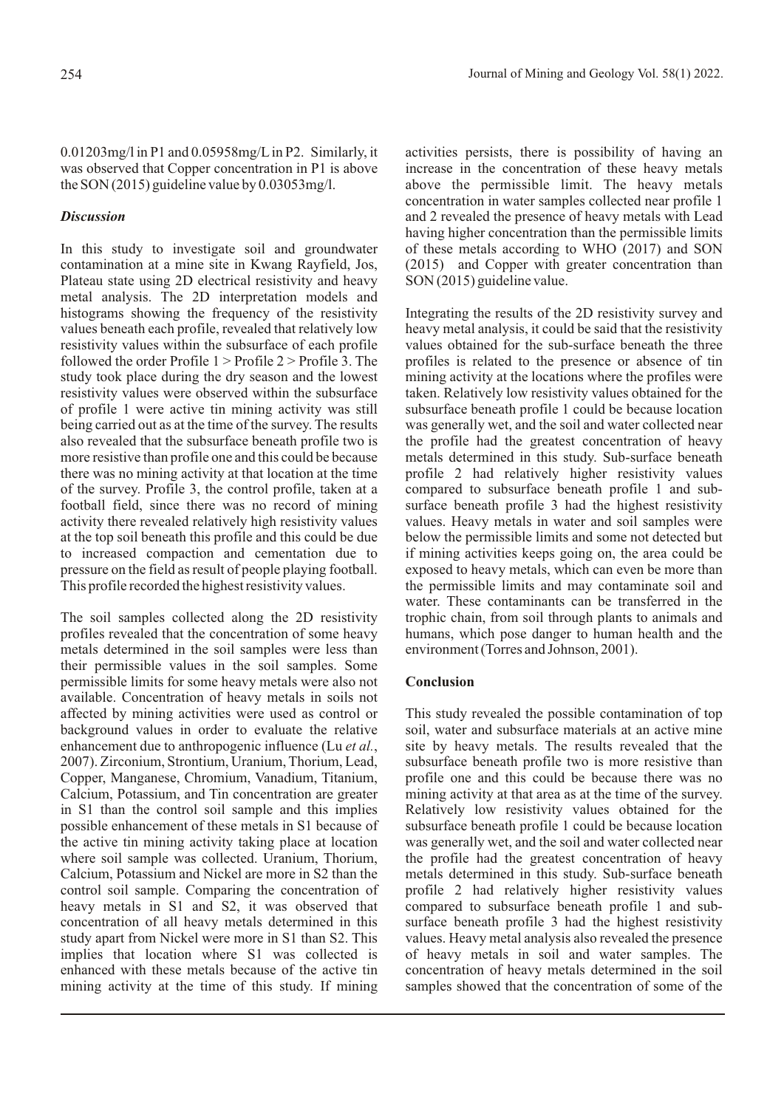0.01203mg/l in P1 and 0.05958mg/L in P2. Similarly, it was observed that Copper concentration in P1 is above the SON (2015) guideline value by 0.03053mg/l.

# *Discussion*

In this study to investigate soil and groundwater contamination at a mine site in Kwang Rayfield, Jos, Plateau state using 2D electrical resistivity and heavy metal analysis. The 2D interpretation models and histograms showing the frequency of the resistivity values beneath each profile, revealed that relatively low resistivity values within the subsurface of each profile followed the order Profile 1 > Profile 2 > Profile 3. The study took place during the dry season and the lowest resistivity values were observed within the subsurface of profile 1 were active tin mining activity was still being carried out as at the time of the survey. The results also revealed that the subsurface beneath profile two is more resistive than profile one and this could be because there was no mining activity at that location at the time of the survey. Profile 3, the control profile, taken at a football field, since there was no record of mining activity there revealed relatively high resistivity values at the top soil beneath this profile and this could be due to increased compaction and cementation due to pressure on the field as result of people playing football. This profile recorded the highest resistivity values.

The soil samples collected along the 2D resistivity profiles revealed that the concentration of some heavy metals determined in the soil samples were less than their permissible values in the soil samples. Some permissible limits for some heavy metals were also not available. Concentration of heavy metals in soils not affected by mining activities were used as control or background values in order to evaluate the relative enhancement due to anthropogenic influence (Lu *et al.*, 2007). Zirconium, Strontium, Uranium, Thorium, Lead, Copper, Manganese, Chromium, Vanadium, Titanium, Calcium, Potassium, and Tin concentration are greater in S1 than the control soil sample and this implies possible enhancement of these metals in S1 because of the active tin mining activity taking place at location where soil sample was collected. Uranium, Thorium, Calcium, Potassium and Nickel are more in S2 than the control soil sample. Comparing the concentration of heavy metals in S1 and S2, it was observed that concentration of all heavy metals determined in this study apart from Nickel were more in S1 than S2. This implies that location where S1 was collected is enhanced with these metals because of the active tin mining activity at the time of this study. If mining activities persists, there is possibility of having an increase in the concentration of these heavy metals above the permissible limit. The heavy metals concentration in water samples collected near profile 1 and 2 revealed the presence of heavy metals with Lead having higher concentration than the permissible limits of these metals according to WHO (2017) and SON (2015) and Copper with greater concentration than SON (2015) guideline value.

Integrating the results of the 2D resistivity survey and heavy metal analysis, it could be said that the resistivity values obtained for the sub-surface beneath the three profiles is related to the presence or absence of tin mining activity at the locations where the profiles were taken. Relatively low resistivity values obtained for the subsurface beneath profile 1 could be because location was generally wet, and the soil and water collected near the profile had the greatest concentration of heavy metals determined in this study. Sub-surface beneath profile 2 had relatively higher resistivity values compared to subsurface beneath profile 1 and subsurface beneath profile 3 had the highest resistivity values. Heavy metals in water and soil samples were below the permissible limits and some not detected but if mining activities keeps going on, the area could be exposed to heavy metals, which can even be more than the permissible limits and may contaminate soil and water. These contaminants can be transferred in the trophic chain, from soil through plants to animals and humans, which pose danger to human health and the environment (Torres and Johnson, 2001).

# **Conclusion**

This study revealed the possible contamination of top soil, water and subsurface materials at an active mine site by heavy metals. The results revealed that the subsurface beneath profile two is more resistive than profile one and this could be because there was no mining activity at that area as at the time of the survey. Relatively low resistivity values obtained for the subsurface beneath profile 1 could be because location was generally wet, and the soil and water collected near the profile had the greatest concentration of heavy metals determined in this study. Sub-surface beneath profile 2 had relatively higher resistivity values compared to subsurface beneath profile 1 and subsurface beneath profile 3 had the highest resistivity values. Heavy metal analysis also revealed the presence of heavy metals in soil and water samples. The concentration of heavy metals determined in the soil samples showed that the concentration of some of the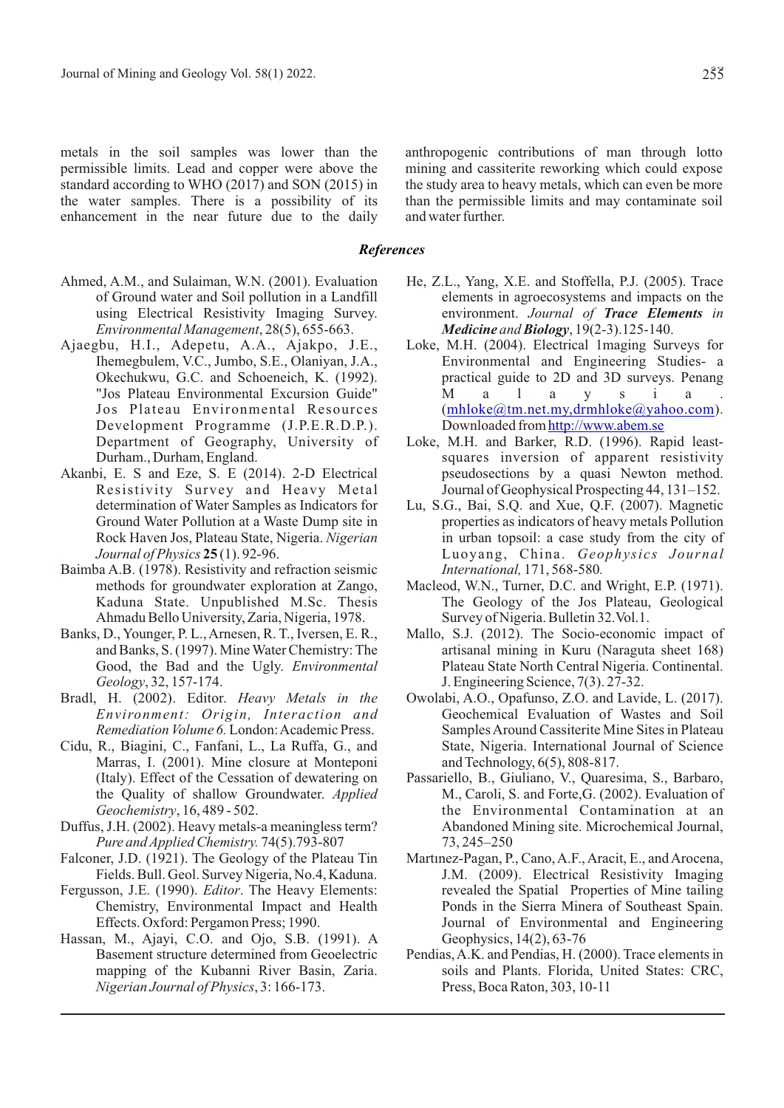metals in the soil samples was lower than the permissible limits. Lead and copper were above the standard according to WHO (2017) and SON (2015) in the water samples. There is a possibility of its enhancement in the near future due to the daily anthropogenic contributions of man through lotto mining and cassiterite reworking which could expose the study area to heavy metals, which can even be more than the permissible limits and may contaminate soil and water further.

## *References*

- Ahmed, A.M., and Sulaiman, W.N. (2001). Evaluation of Ground water and Soil pollution in a Landfill using Electrical Resistivity Imaging Survey. *Environmental Management*, 28(5), 655-663.
- Ajaegbu, H.I., Adepetu, A.A., Ajakpo, J.E., Ihemegbulem, V.C., Jumbo, S.E., Olaniyan, J.A., Okechukwu, G.C. and Schoeneich, K. (1992). "Jos Plateau Environmental Excursion Guide" Jos Plateau Environmental Resources Development Programme (J.P.E.R.D.P.). Department of Geography, University of Durham., Durham, England.
- Akanbi, E. S and Eze, S. E (2014). 2-D Electrical Resistivity Survey and Heavy Metal determination of Water Samples as Indicators for Ground Water Pollution at a Waste Dump site in Rock Haven Jos, Plateau State, Nigeria. *Nigerian Journal of Physics* **25** (1). 92-96.
- Baimba A.B. (1978). Resistivity and refraction seismic methods for groundwater exploration at Zango, Kaduna State. Unpublished M.Sc. Thesis Ahmadu Bello University, Zaria, Nigeria, 1978.
- Banks, D., Younger, P. L., Arnesen, R. T., Iversen, E. R., and Banks, S. (1997). Mine Water Chemistry: The Good, the Bad and the Ugly. *Environmental Geology*, 32, 157-174.
- Bradl, H. (2002). Editor. *Heavy Metals in the Environment: Origin, Interaction and Remediation Volume 6.* London: Academic Press.
- Cidu, R., Biagini, C., Fanfani, L., La Ruffa, G., and Marras, I. (2001). Mine closure at Monteponi (Italy). Effect of the Cessation of dewatering on the Quality of shallow Groundwater. *Applied Geochemistry*, 16, 489 - 502.
- Duffus, J.H. (2002). Heavy metals-a meaningless term? *Pure and Applied Chemistry.* 74(5).793-807
- Falconer, J.D. (1921). The Geology of the Plateau Tin Fields. Bull. Geol. Survey Nigeria, No.4, Kaduna.
- Fergusson, J.E. (1990). *Editor*. The Heavy Elements: Chemistry, Environmental Impact and Health Effects. Oxford: Pergamon Press; 1990.
- Hassan, M., Ajayi, C.O. and Ojo, S.B. (1991). A Basement structure determined from Geoelectric mapping of the Kubanni River Basin, Zaria. *Nigerian Journal of Physics*, 3: 166-173.
- He, Z.L., Yang, X.E. and Stoffella, P.J. (2005). Trace elements in agroecosystems and impacts on the environment. *Journal of Trace Elements in Medicine and Biology*, 19(2-3).125-140.
- Loke, M.H. (2004). Electrical 1maging Surveys for Environmental and Engineering Studies- a practical guide to 2D and 3D surveys. Penang M a l a y s i a . ([mhloke@tm.net.my,drmhloke@yahoo.com](mailto:mhloke@tm.net.my,drmhloke@yahoo.com)). Downloaded from <http://www.abem.se>
- Loke, M.H. and Barker, R.D. (1996). Rapid leastsquares inversion of apparent resistivity pseudosections by a quasi Newton method. Journal of Geophysical Prospecting 44, 131–152.
- Lu, S.G., Bai, S.Q. and Xue, Q.F. (2007). Magnetic properties as indicators of heavy metals Pollution in urban topsoil: a case study from the city of Luoyang, China. *Geophysics Journal International,* 171, 568-580*.*
- Macleod, W.N., Turner, D.C. and Wright, E.P. (1971). The Geology of the Jos Plateau, Geological Survey of Nigeria. Bulletin 32.Vol.1.
- Mallo, S.J. (2012). The Socio-economic impact of artisanal mining in Kuru (Naraguta sheet 168) Plateau State North Central Nigeria. Continental. J. Engineering Science, 7(3). 27-32.
- Owolabi, A.O., Opafunso, Z.O. and Lavide, L. (2017). Geochemical Evaluation of Wastes and Soil Samples Around Cassiterite Mine Sites in Plateau State, Nigeria. International Journal of Science and Technology, 6(5), 808-817.
- Passariello, B., Giuliano, V., Quaresima, S., Barbaro, M., Caroli, S. and Forte,G. (2002). Evaluation of the Environmental Contamination at an Abandoned Mining site. Microchemical Journal, 73, 245–250
- Martinez-Pagan, P., Cano, A.F., Aracit, E., and Arocena, J.M. (2009). Electrical Resistivity Imaging revealed the Spatial Properties of Mine tailing Ponds in the Sierra Minera of Southeast Spain. Journal of Environmental and Engineering Geophysics, 14(2), 63-76
- Pendias, A.K. and Pendias, H. (2000). Trace elements in soils and Plants. Florida, United States: CRC, Press, Boca Raton, 303, 10-11